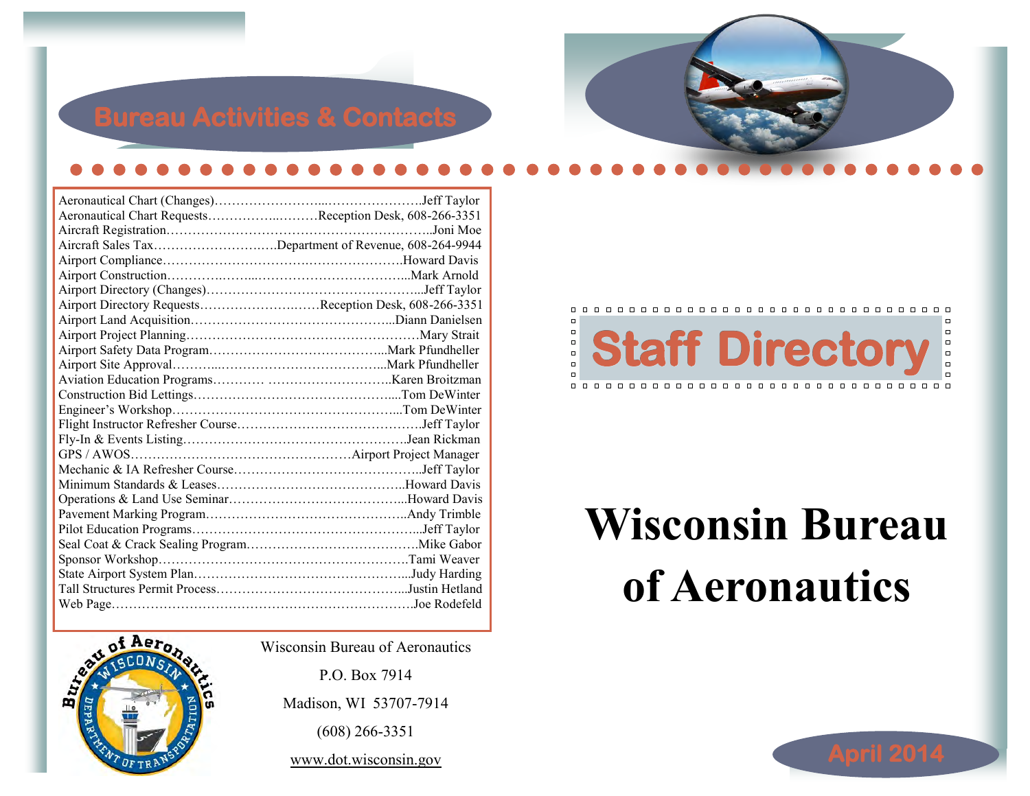# **Bureau Activities & Contacts**

| .Jeff Taylor                                            |
|---------------------------------------------------------|
| Aeronautical Chart RequestsReception Desk, 608-266-3351 |
|                                                         |
| Aircraft Sales TaxDepartment of Revenue, 608-264-9944   |
|                                                         |
|                                                         |
|                                                         |
| Airport Directory RequestsReception Desk, 608-266-3351  |
|                                                         |
|                                                         |
|                                                         |
|                                                         |
|                                                         |
|                                                         |
|                                                         |
|                                                         |
|                                                         |
|                                                         |
|                                                         |
|                                                         |
|                                                         |
|                                                         |
|                                                         |
|                                                         |
|                                                         |
|                                                         |
|                                                         |
|                                                         |



Wisconsin Bureau of Aeronautics

P.O. Box 7914 Madison, WI 53707-7914 (608) 266-3351 www.dot.wisconsin.gov

#### $\Box$  $\Box$ 0000 **Staff Directory**   $\begin{array}{c} \square \\ \square \end{array}$

# **Wisconsin Bureau of Aeronautics**